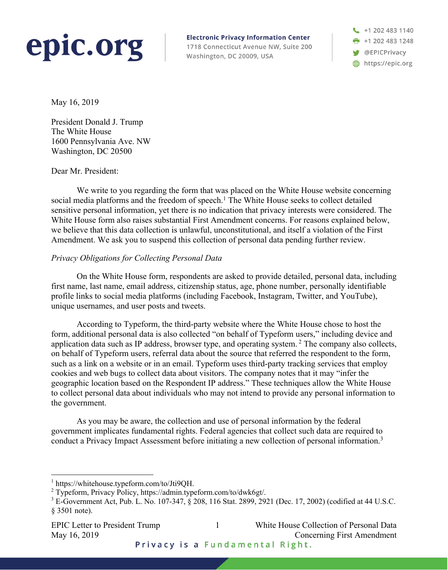# epic.org

**Electronic Privacy Information Center** 1718 Connecticut Avenue NW, Suite 200 Washington, DC 20009, USA

 $\leftarrow$  +1 202 483 1140 **F** +1 202 483 1248 **S** @EPICPrivacy https://epic.org

May 16, 2019

President Donald J. Trump The White House 1600 Pennsylvania Ave. NW Washington, DC 20500

#### Dear Mr. President:

We write to you regarding the form that was placed on the White House website concerning social media platforms and the freedom of speech.<sup>1</sup> The White House seeks to collect detailed sensitive personal information, yet there is no indication that privacy interests were considered. The White House form also raises substantial First Amendment concerns. For reasons explained below, we believe that this data collection is unlawful, unconstitutional, and itself a violation of the First Amendment. We ask you to suspend this collection of personal data pending further review.

## *Privacy Obligations for Collecting Personal Data*

On the White House form, respondents are asked to provide detailed, personal data, including first name, last name, email address, citizenship status, age, phone number, personally identifiable profile links to social media platforms (including Facebook, Instagram, Twitter, and YouTube), unique usernames, and user posts and tweets.

According to Typeform, the third-party website where the White House chose to host the form, additional personal data is also collected "on behalf of Typeform users," including device and application data such as IP address, browser type, and operating system. <sup>2</sup> The company also collects, on behalf of Typeform users, referral data about the source that referred the respondent to the form, such as a link on a website or in an email. Typeform uses third-party tracking services that employ cookies and web bugs to collect data about visitors. The company notes that it may "infer the geographic location based on the Respondent IP address." These techniques allow the White House to collect personal data about individuals who may not intend to provide any personal information to the government.

As you may be aware, the collection and use of personal information by the federal government implicates fundamental rights. Federal agencies that collect such data are required to conduct a Privacy Impact Assessment before initiating a new collection of personal information.<sup>3</sup>

May 16, 2019 Concerning First Amendment

EPIC Letter to President Trump 1 White House Collection of Personal Data

Privacy is a Fundamental Right.

https://whitehouse.typeform.com/to/Jti9QH.

<sup>2</sup> Typeform, Privacy Policy, https://admin.typeform.com/to/dwk6gt/.

<sup>&</sup>lt;sup>3</sup> E-Government Act, Pub. L. No. 107-347,  $\hat{\S}$  208, 116 Stat. 2899, 2921 (Dec. 17, 2002) (codified at 44 U.S.C. § 3501 note).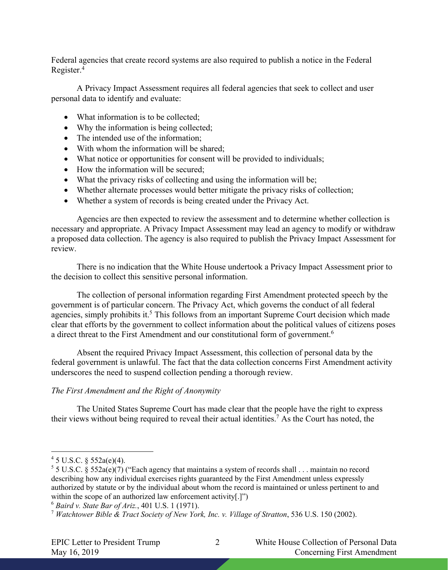Federal agencies that create record systems are also required to publish a notice in the Federal Register. 4

A Privacy Impact Assessment requires all federal agencies that seek to collect and user personal data to identify and evaluate:

- What information is to be collected;
- Why the information is being collected;
- The intended use of the information;
- With whom the information will be shared;
- What notice or opportunities for consent will be provided to individuals;
- How the information will be secured;
- What the privacy risks of collecting and using the information will be;
- Whether alternate processes would better mitigate the privacy risks of collection;
- Whether a system of records is being created under the Privacy Act.

Agencies are then expected to review the assessment and to determine whether collection is necessary and appropriate. A Privacy Impact Assessment may lead an agency to modify or withdraw a proposed data collection. The agency is also required to publish the Privacy Impact Assessment for review.

There is no indication that the White House undertook a Privacy Impact Assessment prior to the decision to collect this sensitive personal information.

The collection of personal information regarding First Amendment protected speech by the government is of particular concern. The Privacy Act, which governs the conduct of all federal agencies, simply prohibits it.<sup>5</sup> This follows from an important Supreme Court decision which made clear that efforts by the government to collect information about the political values of citizens poses a direct threat to the First Amendment and our constitutional form of government.6

Absent the required Privacy Impact Assessment, this collection of personal data by the federal government is unlawful. The fact that the data collection concerns First Amendment activity underscores the need to suspend collection pending a thorough review.

#### *The First Amendment and the Right of Anonymity*

The United States Supreme Court has made clear that the people have the right to express their views without being required to reveal their actual identities. <sup>7</sup> As the Court has noted, the

 $45$  U.S.C. §  $552a(e)(4)$ .

<sup>&</sup>lt;sup>5</sup> 5 U.S.C. § 552a(e)(7) ("Each agency that maintains a system of records shall . . . maintain no record describing how any individual exercises rights guaranteed by the First Amendment unless expressly authorized by statute or by the individual about whom the record is maintained or unless pertinent to and within the scope of an authorized law enforcement activity[.]")

<sup>6</sup> *Baird v. State Bar of Ariz.*, 401 U.S. 1 (1971).

<sup>7</sup> *Watchtower Bible & Tract Society of New York, Inc. v. Village of Stratton*, 536 U.S. 150 (2002).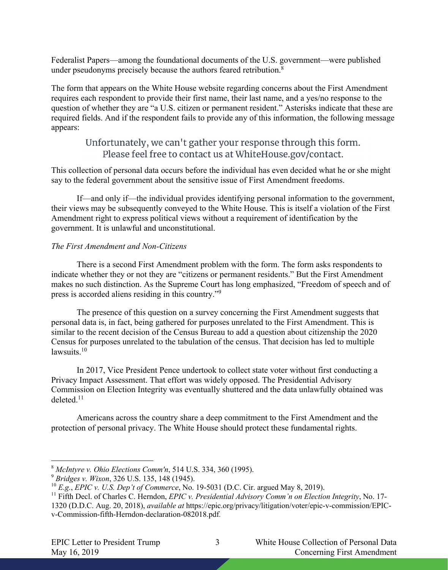Federalist Papers—among the foundational documents of the U.S. government—were published under pseudonyms precisely because the authors feared retribution.<sup>8</sup>

The form that appears on the White House website regarding concerns about the First Amendment requires each respondent to provide their first name, their last name, and a yes/no response to the question of whether they are "a U.S. citizen or permanent resident." Asterisks indicate that these are required fields. And if the respondent fails to provide any of this information, the following message appears:

# Unfortunately, we can't gather your response through this form. Please feel free to contact us at WhiteHouse.gov/contact.

This collection of personal data occurs before the individual has even decided what he or she might say to the federal government about the sensitive issue of First Amendment freedoms.

If—and only if—the individual provides identifying personal information to the government, their views may be subsequently conveyed to the White House. This is itself a violation of the First Amendment right to express political views without a requirement of identification by the government. It is unlawful and unconstitutional.

## *The First Amendment and Non-Citizens*

There is a second First Amendment problem with the form. The form asks respondents to indicate whether they or not they are "citizens or permanent residents." But the First Amendment makes no such distinction. As the Supreme Court has long emphasized, "Freedom of speech and of press is accorded aliens residing in this country."9

The presence of this question on a survey concerning the First Amendment suggests that personal data is, in fact, being gathered for purposes unrelated to the First Amendment. This is similar to the recent decision of the Census Bureau to add a question about citizenship the 2020 Census for purposes unrelated to the tabulation of the census. That decision has led to multiple lawsuits.<sup>10</sup>

In 2017, Vice President Pence undertook to collect state voter without first conducting a Privacy Impact Assessment. That effort was widely opposed. The Presidential Advisory Commission on Election Integrity was eventually shuttered and the data unlawfully obtained was deleted.11

Americans across the country share a deep commitment to the First Amendment and the protection of personal privacy. The White House should protect these fundamental rights.

 <sup>8</sup> *McIntyre v. Ohio Elections Comm'n*, 514 U.S. 334, 360 (1995).

<sup>9</sup> *Bridges v. Wixon*, 326 U.S. 135, 148 (1945).

<sup>10</sup> *E.g.*, *EPIC v. U.S. Dep't of Commerce*, No. 19-5031 (D.C. Cir. argued May 8, 2019).

<sup>11</sup> Fifth Decl. of Charles C. Herndon, *EPIC v. Presidential Advisory Comm'n on Election Integrity*, No. 17- 1320 (D.D.C. Aug. 20, 2018), *available at* https://epic.org/privacy/litigation/voter/epic-v-commission/EPICv-Commission-fifth-Herndon-declaration-082018.pdf*.*